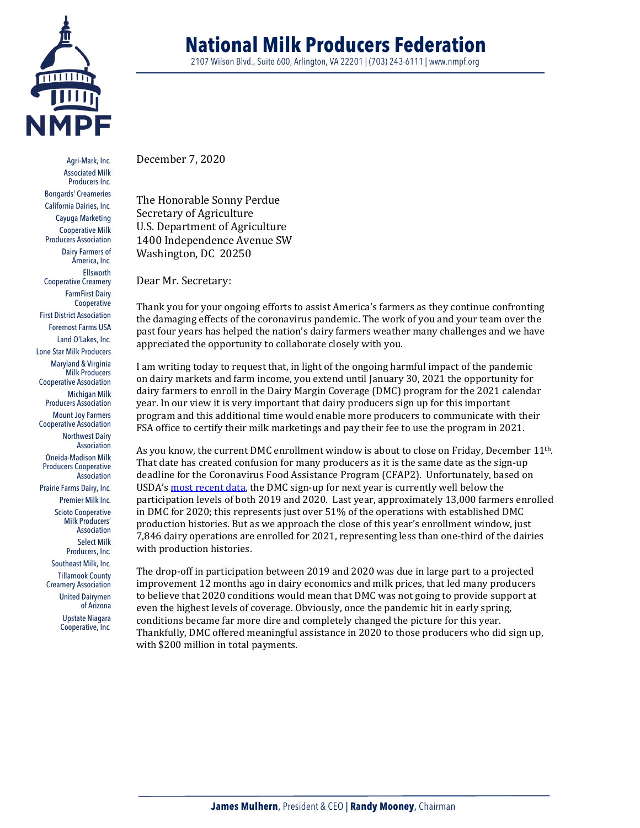

Agri-Mark, Inc. Associated Milk Producers Inc. Bongards' Creameries California Dairies, Inc. Cayuga Marketing Cooperative Milk Producers Association Dairy Farmers of America, Inc. Ellsworth Cooperative Creamery FarmFirst Dairy **Cooperative** First District Association Foremost Farms USA Land O'Lakes, Inc. Lone Star Milk Producers Maryland & Virginia Milk Producers Cooperative Association Michigan Milk Producers Association Mount Joy Farmers Cooperative Association Northwest Dairy Association Oneida-Madison Milk Producers Cooperative Association

Prairie Farms Dairy, Inc.

Premier Milk Inc. Scioto Cooperative

Milk Producers' Association Select Milk

Producers, Inc.

Southeast Milk, Inc. Tillamook County Creamery Association

United Dairymen of Arizona Upstate Niagara

Cooperative, Inc.

2107 Wilson Blvd., Suite 600, Arlington, VA 22201 | (703) 243-6111 | www.nmpf.org

December 7, 2020

The Honorable Sonny Perdue Secretary of Agriculture U.S. Department of Agriculture 1400 Independence Avenue SW Washington, DC 20250

Dear Mr. Secretary:

Thank you for your ongoing efforts to assist America's farmers as they continue confronting the damaging effects of the coronavirus pandemic. The work of you and your team over the past four years has helped the nation's dairy farmers weather many challenges and we have appreciated the opportunity to collaborate closely with you.

I am writing today to request that, in light of the ongoing harmful impact of the pandemic on dairy markets and farm income, you extend until January 30, 2021 the opportunity for dairy farmers to enroll in the Dairy Margin Coverage (DMC) program for the 2021 calendar year. In our view it is very important that dairy producers sign up for this important program and this additional time would enable more producers to communicate with their FSA office to certify their milk marketings and pay their fee to use the program in 2021.

As you know, the current DMC enrollment window is about to close on Friday, December  $11^{th}$ . That date has created confusion for many producers as it is the same date as the sign-up deadline for the Coronavirus Food Assistance Program (CFAP2). Unfortunately, based on USDA'[s most recent data,](https://www.fsa.usda.gov/programs-and-services/dairy-margin-coverage-program/program-enrollment-information/index) the DMC sign-up for next year is currently well below the participation levels of both 2019 and 2020. Last year, approximately 13,000 farmers enrolled in DMC for 2020; this represents just over 51% of the operations with established DMC production histories. But as we approach the close of this year's enrollment window, just 7,846 dairy operations are enrolled for 2021, representing less than one-third of the dairies with production histories.

The drop-off in participation between 2019 and 2020 was due in large part to a projected improvement 12 months ago in dairy economics and milk prices, that led many producers to believe that 2020 conditions would mean that DMC was not going to provide support at even the highest levels of coverage. Obviously, once the pandemic hit in early spring, conditions became far more dire and completely changed the picture for this year. Thankfully, DMC offered meaningful assistance in 2020 to those producers who did sign up, with \$200 million in total payments.